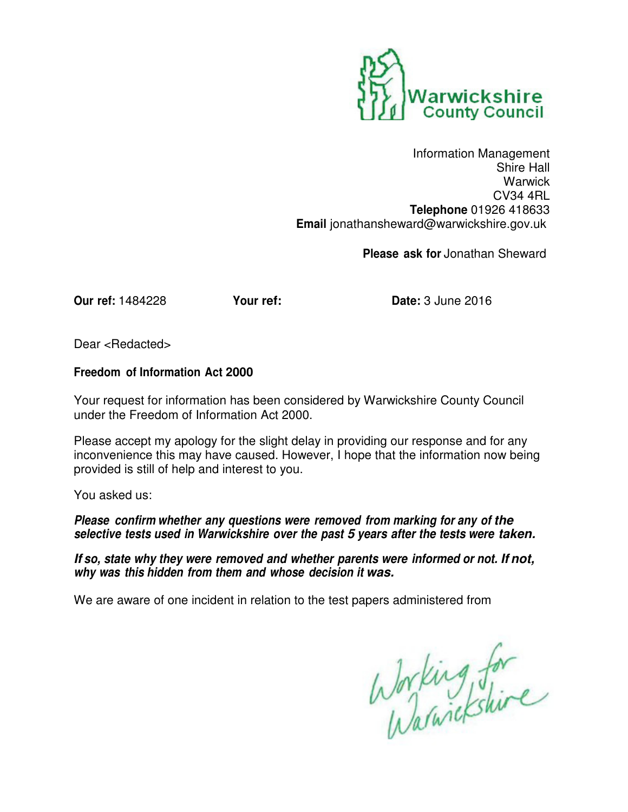

Information Management Shire Hall Warwick CV34 4RL **Telephone** 01926 418633 **Email** jonathansheward@warwickshire.gov.uk

**Please ask for** Jonathan Sheward

**Our ref:** 1484228 **Your ref: Date:** 3 June 2016

Dear <Redacted>

## **Freedom of Information Act 2000**

Your request for information has been considered by Warwickshire County Council under the Freedom of Information Act 2000.

Please accept my apology for the slight delay in providing our response and for any inconvenience this may have caused. However, I hope that the information now being provided is still of help and interest to you.

You asked us:

**Please confirm whether any questions were removed from marking for any of the selective tests used in Warwickshire over the past 5 years after the tests were taken.**

**If so, state why they were removed and whether parents were informed or not. If not, why was this hidden from them and whose decision it was.**

We are aware of one incident in relation to the test papers administered from

Working for